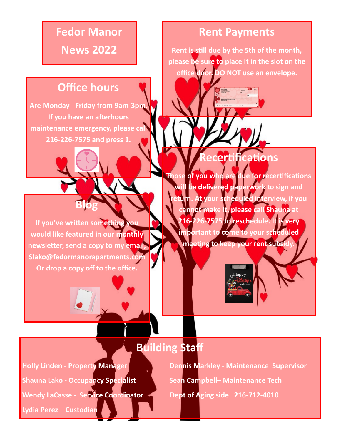# **Fedor Manor News 2022**

#### **Rent Payments**

**Rent is still due by the 5th of the month, please be sure to place It in the slot on the office door. DO NOT use an envelope.**

# **Office hours**

**Are Monday - Friday from 9am-3pm. If you have an afterhours maintenance emergency, please call 216-226-7575 and press 1.**



**If you've written something would like featured in our monthly newsletter, send a copy to my email, Slako@fedormanorapartments.com Or drop a copy off to the office.**



**Those of you who are due for recertifications will be delivered paperwork to sign and return. At your scheduled interview, if you cannot make it, please call Shauna at 216-226-7575 to reschedule. It is very important to come to your scheduled meeting to keep your rent subsidy.** 



# **Building Staff**

**Shauna Lako - Occupancy Specialist Sean Campbell– Maintenance Tech <b>Specialist Wendy LaCasse - Service Coordinator <b>Concernation** Dept of Aging side 216-712-4010 **Lydia Perez – Custodian** 

**Holly Linden - Property Manager Dennis Markley - Maintenance Supervisor**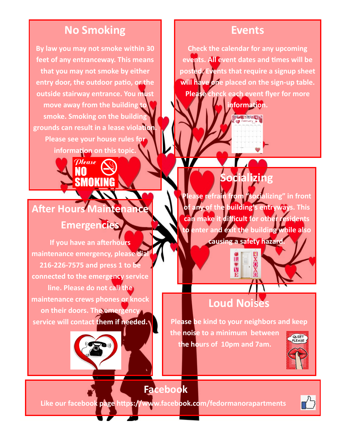## **No Smoking**

**By law you may not smoke within 30 feet of any entranceway. This means that you may not smoke by either entry door, the outdoor patio, or the outside stairway entrance. You must move away from the building to smoke. Smoking on the building grounds can result in a lease violation. Please see your house rules for information on this topic.**



## **After Hours Maintenar**

#### **Emergencies**

**If you have an afterhours maintenance emergency, please dialong 216-226-7575 and press 1 to be connected to the emergency service line. Please do not call the maintenance crews phones or knock on their doors. The emergency service will contact them if needed.**



**Check the calendar for any upcoming events. All event dates and times will be posted. Events that require a signup sheet will have one placed on the sign-up table. Please check each event flyer for more** 

**information.**

光 凝土光电

**Socializing**

**Please refrain from "socializing" in front of any of the building's entryways. This can make it difficult for other residents to enter and exit the building while also causing a safety hazard.**

 $\frac{0}{0}$ 

# **Loud Noises**

L  $\frac{1}{2}$ 

**Please be kind to your neighbors and keep the noise to a minimum between QUIET the hours of 10pm and 7am.**



#### **Facebook**

**Like our facebook page https://www.facebook.com/fedormanorapartments**

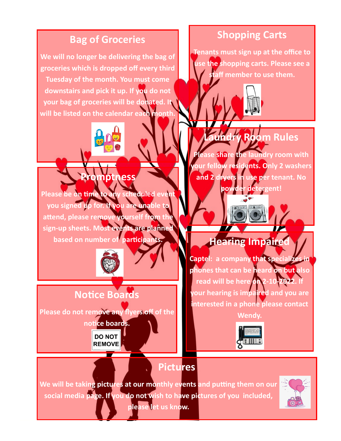#### **Bag of Groceries**

**We will no longer be delivering the bag of groceries which is dropped off every third Tuesday of the month. You must come downstairs and pick it up. If you do not your bag of groceries will be donated. will be listed on the calendar each month.** 



**Promptness** 

**Please be on time to any scheduled event you signed up for. If you are unable to**  attend, please remove yourself from the **sign-up sheets. Most events are planned based on number of participants.**



## **Notice Boards**

**Please do not remove any flyers off of the** 

**notice boards.**

**DO NOT REMOVE** 

# **Shopping Carts**

**Tenants must sign up at the office to use the shopping carts. Please see a staff member to use them.**

# **Laundry Room Rules**

**Please share the laundry room with your fellow residents. Only 2 washers and 2 dryers in use per tenant. No powder detergent!** 

#### **Hearing Impaired**

 $\boldsymbol{U}$ 

**Captel: a company that specializes in phones that can be heard on but also read will be here on 2-10-2022. If your hearing is impaired and you are interested in a phone please contact Wendy.** 





**We will be taking pictures at our monthly events and putting them on our social media page. If you do not wish to have pictures of you included,** 



**please let us know.**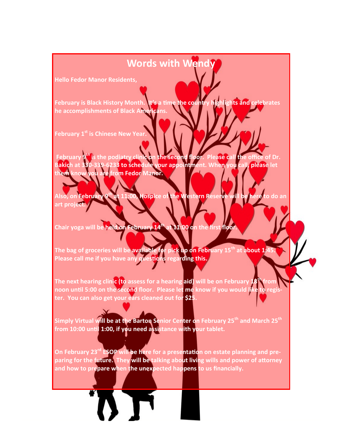# **Words with Wendy**

**Hello Fedor Manor Residents,**

**February is Black History Month. It's a time the country highlights and celebrates he accomplishments of Black Americans.**

**February 1st is Chinese New Year.** 

**February 9th is the podiatry clinic on the second floor. Please call the office of Dr. Bakich at 330-339-6233 to schedule your appointment. When you call, please let u are from Fedor Manor.** 

**Also, on February 9th at 11:00, Hospice of the Western Reserve will be here to do an art project.** 

**Chair yoga will be held on February 14th at 11:00 on the first floor.**

**The bag of groceries will be available for pick up on February 15th at about 1:45. Please call me if you have any questions regarding this.**

**The next hearing clinic (to assess for a hearing aid) will be on February 18th from noon until 5:00 on the second floor. Please let me know if you would like to register. You can also get your ears cleaned out for \$25.**

**Simply Virtual will be at the Barton Senior Center on February 25th and March 25th** from 10:00 until 1:00, if you need assistance with your tablet.

**On February 23rd ESOP will be here for a presentation on estate planning and preparing for the future. They will be talking about living wills and power of attorney and how to prepare when the unexpected happens to us financially.**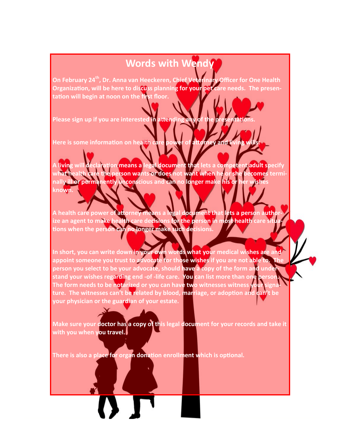# **Words with Wendy**

**On February 24th, Dr. Anna van Heeckeren, Chief Veterinary Officer for One Health Organization, will be here to discuss planning for your pet care needs. The presentation will begin at noon on the first floor.** 

**Please sign up if you are interested in attending** 

**Here is some information on health care power of attorney and livit** 

**A living will declaration means a legal document that lets a competent adult specify what health care the person wants or does not want when he or she becomes terminally ill or permanently unconscious and can no longer make his or her wishes known.**

**A health care power of attorney means a legal document that lets a person authorize an agent to make health care decisions for the person in most health care situations when the person can no longer make such decisions.**

**In short, you can write down in your own words what your medical wishes are and appoint someone you trust to advocate for those wishes if you are not able to. The person you select to be your advocate, should have a copy of the form and understand your wishes regarding end -of -life care. You can list more than one person. The form needs to be notarized or you can have two witnesses witness your signature. The witnesses can't be related by blood, marriage, or adoption and can't be your physician or the guardian of your estate.**

**Make sure your doctor has a copy of this legal document for your records and take it with you when you travel.** 

**There is also a place for organ donation enrollment which is optional.**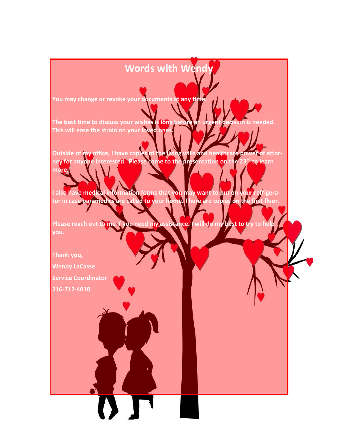## **Words with Wend**

You may change or revoke your documents at any tim

**The best time to discuss your wishes is long before an urgent decision is needed. This will ease the strain on your loved ones.** 

**Outside of my office, I have copies of the living wills and healthcare power of attorney for anyone interested. Please come to the presentation on the 23rd to learn more.**

**I also have medical information forms that you may want to put on your refrigerator in case paramedics are called to your home. There are copies on the first floor.**

Please reach out to me if you need my assistance. I will do my best to try to he **you.**

**Thank you,**

**Wendy LaCasse**

**Service Coordinator**

 $\blacklozenge$ 

**216-712-4010**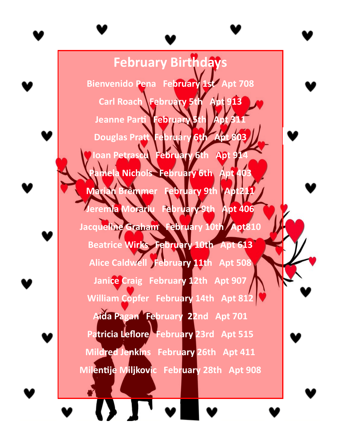**February Birthdays**

**Bienvenido Pena February 1st Apt 708 Carl Roach February 5t Jeanne Parti February Douglas Pratt Ioan Petrascu February 61 Pamela Nichols February 6th Marian Bremmer February 9th Jeremia Morariu February 9th Apt 406** Jacqueline Graham February 10th Apt810 **Beatrice Wirks February 10th Apt 613 Alice Caldwell February 11th Apt 508 Janice Craig February 12th Apt 907 William Copfer February 14th Apt 812 Aida Pagan February 22nd Apt 701 Patricia Leflore February 23rd Apt 515 Mildred Jenkins February 26th Apt 411 Milentije Miljkovic February 28th Apt 908**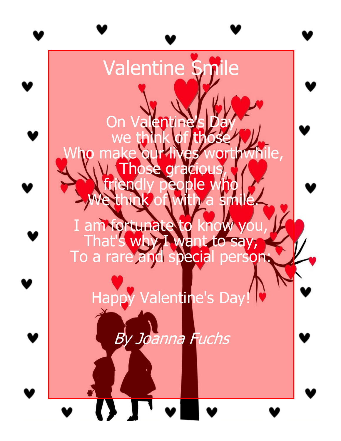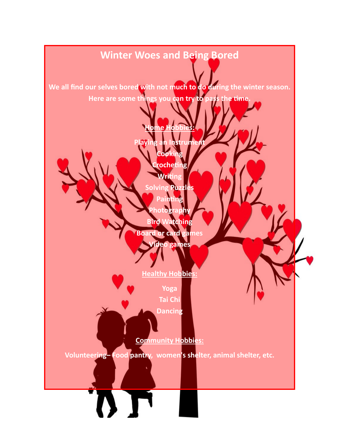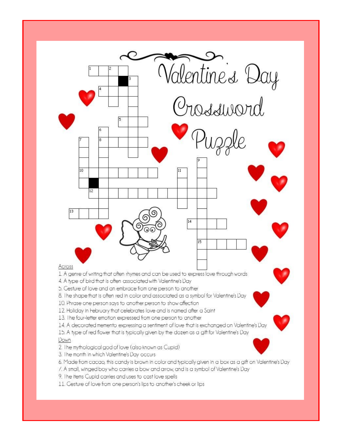